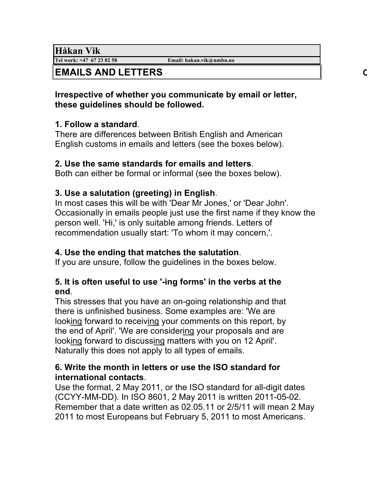**Håkan Vik**<br>Tel work: +47 67 23 02 58

**Tel work: +47 67 23 02 58 Email: hakan.vik@nmbu.no**

# **EMAILS AND LETTERS CHECK LIST AND EXAMPLES:**

#### **Irrespective of whether you communicate by email or letter, these guidelines should be followed.**

## **1. Follow a standard**.

There are differences between British English and American English customs in emails and letters (see the boxes below).

#### **2. Use the same standards for emails and letters**.

Both can either be formal or informal (see the boxes below).

# **3. Use a salutation (greeting) in English**.

In most cases this will be with 'Dear Mr Jones,' or 'Dear John'. Occasionally in emails people just use the first name if they know the person well. 'Hi,' is only suitable among friends. Letters of recommendation usually start: 'To whom it may concern,'.

## **4. Use the ending that matches the salutation**.

If you are unsure, follow the guidelines in the boxes below.

# **5. It is often useful to use '-ing forms' in the verbs at the end**.

This stresses that you have an on-going relationship and that there is unfinished business. Some examples are: 'We are looking forward to receiving your comments on this report, by the end of April'. 'We are considering your proposals and are looking forward to discussing matters with you on 12 April'. Naturally this does not apply to all types of emails.

#### **6. Write the month in letters or use the ISO standard for international contacts**.

Use the format, 2 May 2011, or the ISO standard for all-digit dates (CCYY-MM-DD). In ISO 8601, 2 May 2011 is written 2011-05-02. Remember that a date written as 02.05.11 or 2/5/11 will mean 2 May 2011 to most Europeans but February 5, 2011 to most Americans.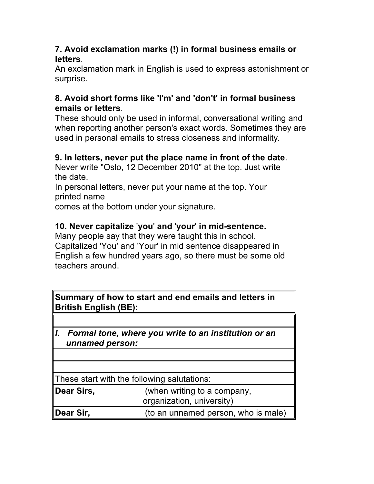#### **7. Avoid exclamation marks (!) in formal business emails or letters**.

An exclamation mark in English is used to express astonishment or surprise.

## **8. Avoid short forms like 'I'm' and 'don't' in formal business emails or letters**.

These should only be used in informal, conversational writing and when reporting another person's exact words. Sometimes they are used in personal emails to stress closeness and informality.

#### **9. In letters, never put the place name in front of the date**.

Never write "Oslo, 12 December 2010" at the top. Just write the date.

In personal letters, never put your name at the top. Your printed name

comes at the bottom under your signature.

#### **10. Never capitalize** '**you**' **and** '**your**' **in mid-sentence.**

Many people say that they were taught this in school. Capitalized 'You' and 'Your' in mid sentence disappeared in English a few hundred years ago, so there must be some old teachers around.

| Summary of how to start and end emails and letters in<br><b>British English (BE):</b> |                                                          |  |
|---------------------------------------------------------------------------------------|----------------------------------------------------------|--|
|                                                                                       |                                                          |  |
| I. Formal tone, where you write to an institution or an<br>unnamed person:            |                                                          |  |
|                                                                                       |                                                          |  |
|                                                                                       |                                                          |  |
| These start with the following salutations:                                           |                                                          |  |
| Dear Sirs,                                                                            | (when writing to a company,<br>organization, university) |  |
| Dear Sir,                                                                             | (to an unnamed person, who is male)                      |  |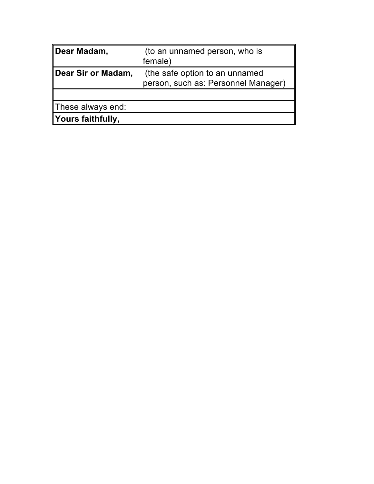| Dear Madam,        | (to an unnamed person, who is                                         |
|--------------------|-----------------------------------------------------------------------|
|                    | female)                                                               |
| Dear Sir or Madam, | (the safe option to an unnamed<br>person, such as: Personnel Manager) |
| These always end:  |                                                                       |
| Yours faithfully,  |                                                                       |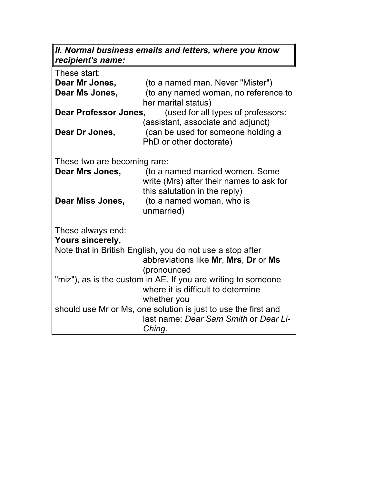#### *II. Normal business emails and letters, where you know recipient's name:*

| These start:                                                       |                                          |  |
|--------------------------------------------------------------------|------------------------------------------|--|
| Dear Mr Jones,                                                     | (to a named man. Never "Mister")         |  |
| Dear Ms Jones,                                                     | (to any named woman, no reference to     |  |
|                                                                    | her marital status)                      |  |
| <b>Dear Professor Jones,</b><br>(used for all types of professors: |                                          |  |
|                                                                    | (assistant, associate and adjunct)       |  |
| Dear Dr Jones,                                                     | (can be used for someone holding a       |  |
|                                                                    | PhD or other doctorate)                  |  |
|                                                                    |                                          |  |
| These two are becoming rare:                                       |                                          |  |
| Dear Mrs Jones,                                                    | (to a named married women. Some          |  |
|                                                                    | write (Mrs) after their names to ask for |  |
|                                                                    | this salutation in the reply)            |  |
| Dear Miss Jones,                                                   | (to a named woman, who is                |  |
|                                                                    | unmarried)                               |  |
|                                                                    |                                          |  |
| These always end:                                                  |                                          |  |
| Yours sincerely,                                                   |                                          |  |
| Note that in British English, you do not use a stop after          |                                          |  |
|                                                                    | abbreviations like Mr, Mrs, Dr or Ms     |  |
|                                                                    | (pronounced                              |  |
| "miz"), as is the custom in AE. If you are writing to someone      |                                          |  |
|                                                                    | where it is difficult to determine       |  |
|                                                                    | whether you                              |  |
| should use Mr or Ms, one solution is just to use the first and     |                                          |  |
|                                                                    | last name: Dear Sam Smith or Dear Li-    |  |
|                                                                    | Ching.                                   |  |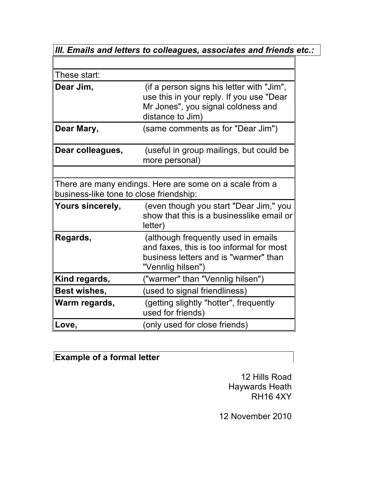| III. Emails and letters to colleagues, associates and friends etc.:                                |                                                                                                                                                 |  |  |
|----------------------------------------------------------------------------------------------------|-------------------------------------------------------------------------------------------------------------------------------------------------|--|--|
|                                                                                                    |                                                                                                                                                 |  |  |
| These start:                                                                                       |                                                                                                                                                 |  |  |
| Dear Jim,                                                                                          | (if a person signs his letter with "Jim",<br>use this in your reply. If you use "Dear<br>Mr Jones", you signal coldness and<br>distance to Jim) |  |  |
| Dear Mary,                                                                                         | (same comments as for "Dear Jim")                                                                                                               |  |  |
| Dear colleagues,                                                                                   | (useful in group mailings, but could be<br>more personal)                                                                                       |  |  |
| There are many endings. Here are some on a scale from a<br>business-like tone to close friendship: |                                                                                                                                                 |  |  |
| <b>Yours sincerely,</b>                                                                            | (even though you start "Dear Jim," you<br>show that this is a businesslike email or<br>letter)                                                  |  |  |
| Regards,                                                                                           | (although frequently used in emails<br>and faxes, this is too informal for most<br>business letters and is "warmer" than<br>"Vennlig hilsen")   |  |  |
| Kind regards,                                                                                      | ("warmer" than "Vennlig hilsen")                                                                                                                |  |  |
| <b>Best wishes,</b>                                                                                | (used to signal friendliness)                                                                                                                   |  |  |
| Warm regards,                                                                                      | (getting slightly "hotter", frequently<br>used for friends)                                                                                     |  |  |
| Love,                                                                                              | (only used for close friends)                                                                                                                   |  |  |

# **Example of a formal letter**

12 Hills Road Haywards Heath RH16 4XY

12 November 2010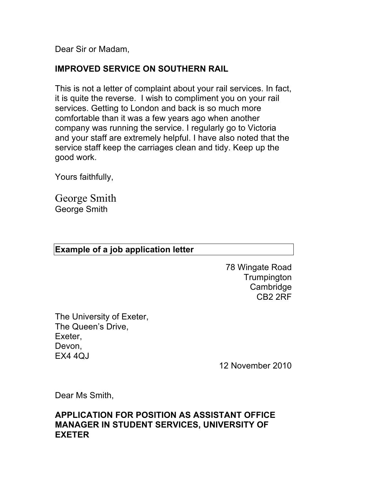Dear Sir or Madam,

## **IMPROVED SERVICE ON SOUTHERN RAIL**

This is not a letter of complaint about your rail services. In fact, it is quite the reverse. I wish to compliment you on your rail services. Getting to London and back is so much more comfortable than it was a few years ago when another company was running the service. I regularly go to Victoria and your staff are extremely helpful. I have also noted that the service staff keep the carriages clean and tidy. Keep up the good work.

Yours faithfully,

George Smith George Smith

#### **Example of a job application letter**

78 Wingate Road **Trumpington** Cambridge CB2 2RF

The University of Exeter, The Queen's Drive, Exeter, Devon, EX4 4QJ

12 November 2010

Dear Ms Smith,

#### **APPLICATION FOR POSITION AS ASSISTANT OFFICE MANAGER IN STUDENT SERVICES, UNIVERSITY OF EXETER**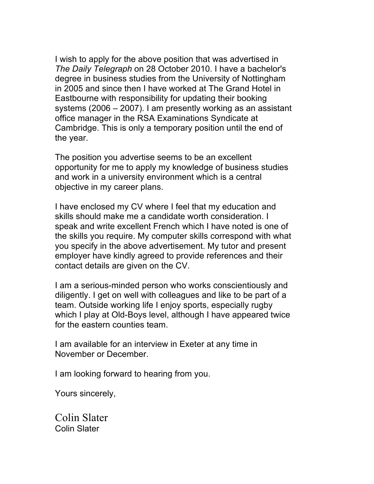I wish to apply for the above position that was advertised in *The Daily Telegraph* on 28 October 2010. I have a bachelor's degree in business studies from the University of Nottingham in 2005 and since then I have worked at The Grand Hotel in Eastbourne with responsibility for updating their booking systems (2006 – 2007). I am presently working as an assistant office manager in the RSA Examinations Syndicate at Cambridge. This is only a temporary position until the end of the year.

The position you advertise seems to be an excellent opportunity for me to apply my knowledge of business studies and work in a university environment which is a central objective in my career plans.

I have enclosed my CV where I feel that my education and skills should make me a candidate worth consideration. I speak and write excellent French which I have noted is one of the skills you require. My computer skills correspond with what you specify in the above advertisement. My tutor and present employer have kindly agreed to provide references and their contact details are given on the CV.

I am a serious-minded person who works conscientiously and diligently. I get on well with colleagues and like to be part of a team. Outside working life I enjoy sports, especially rugby which I play at Old-Boys level, although I have appeared twice for the eastern counties team.

I am available for an interview in Exeter at any time in November or December.

I am looking forward to hearing from you.

Yours sincerely,

Colin Slater Colin Slater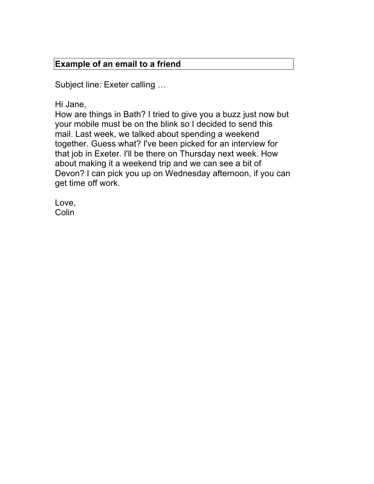#### **Example of an email to a friend**

Subject line: Exeter calling …

Hi Jane,

How are things in Bath? I tried to give you a buzz just now but your mobile must be on the blink so I decided to send this mail. Last week, we talked about spending a weekend together. Guess what? I've been picked for an interview for that job in Exeter. I'll be there on Thursday next week. How about making it a weekend trip and we can see a bit of Devon? I can pick you up on Wednesday afternoon, if you can get time off work.

Love, **Colin**